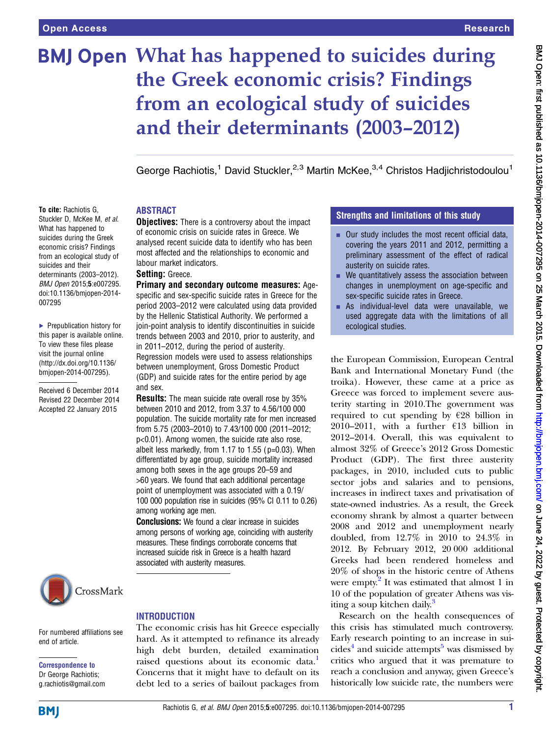To cite: Rachiotis G, Stuckler D, McKee M, et al. What has happened to suicides during the Greek economic crisis? Findings from an ecological study of suicides and their determinants (2003–2012). BMJ Open 2015;5:e007295. doi:10.1136/bmjopen-2014-

▶ Prepublication history for this paper is available online. To view these files please visit the journal online [\(http://dx.doi.org/10.1136/](http://dx.doi.org/10.1136/bmjopen-2014-007295) [bmjopen-2014-007295](http://dx.doi.org/10.1136/bmjopen-2014-007295)). Received 6 December 2014 Revised 22 December 2014 Accepted 22 January 2015

007295

# BMJ Open What has happened to suicides during the Greek economic crisis? Findings from an ecological study of suicides and their determinants (2003–2012)

George Rachiotis,<sup>1</sup> David Stuckler,<sup>2,3</sup> Martin McKee,<sup>3,4</sup> Christos Hadjichristodoulou<sup>1</sup>

# ABSTRACT

**Objectives:** There is a controversy about the impact of economic crisis on suicide rates in Greece. We analysed recent suicide data to identify who has been most affected and the relationships to economic and labour market indicators.

#### Setting: Greece.

Primary and secondary outcome measures: Agespecific and sex-specific suicide rates in Greece for the period 2003–2012 were calculated using data provided by the Hellenic Statistical Authority. We performed a join-point analysis to identify discontinuities in suicide trends between 2003 and 2010, prior to austerity, and in 2011–2012, during the period of austerity. Regression models were used to assess relationships between unemployment, Gross Domestic Product (GDP) and suicide rates for the entire period by age and sex.

**Results:** The mean suicide rate overall rose by 35% between 2010 and 2012, from 3.37 to 4.56/100 000 population. The suicide mortality rate for men increased from 5.75 (2003–2010) to 7.43/100 000 (2011–2012; p<0.01). Among women, the suicide rate also rose, albeit less markedly, from  $1.17$  to  $1.55$  ( $p=0.03$ ). When differentiated by age group, suicide mortality increased among both sexes in the age groups 20–59 and >60 years. We found that each additional percentage point of unemployment was associated with a 0.19/ 100 000 population rise in suicides (95% CI 0.11 to 0.26) among working age men.

**Conclusions:** We found a clear increase in suicides among persons of working age, coinciding with austerity measures. These findings corroborate concerns that increased suicide risk in Greece is a health hazard associated with austerity measures.

# CrossMark

For numbered affiliations see end of article.

#### Correspondence to Dr George Rachiotis; g.rachiotis@gmail.com

## **INTRODUCTION**

The economic crisis has hit Greece especially hard. As it attempted to refinance its already high debt burden, detailed examination raised questions about its economic data.<sup>[1](#page-5-0)</sup> Concerns that it might have to default on its debt led to a series of bailout packages from

# Strengths and limitations of this study

- Our study includes the most recent official data, covering the years 2011 and 2012, permitting a preliminary assessment of the effect of radical austerity on suicide rates.
- $\blacksquare$  We quantitatively assess the association between changes in unemployment on age-specific and sex-specific suicide rates in Greece.
- $\blacksquare$  As individual-level data were unavailable, we used aggregate data with the limitations of all ecological studies.

the European Commission, European Central Bank and International Monetary Fund (the troika). However, these came at a price as Greece was forced to implement severe austerity starting in 2010.The government was required to cut spending by €28 billion in 2010–2011, with a further  $£13$  billion in 2012–2014. Overall, this was equivalent to almost 32% of Greece's 2012 Gross Domestic Product (GDP). The first three austerity packages, in 2010, included cuts to public sector jobs and salaries and to pensions, increases in indirect taxes and privatisation of state-owned industries. As a result, the Greek economy shrank by almost a quarter between 2008 and 2012 and unemployment nearly doubled, from 12.7% in 2010 to 24.3% in 2012. By February 2012, 20 000 additional Greeks had been rendered homeless and 20% of shops in the historic centre of Athens were empty. $\frac{2}{1}$  It was estimated that almost 1 in 10 of the population of greater Athens was visiting a soup kitchen daily.<sup>3</sup>

Research on the health consequences of this crisis has stimulated much controversy. Early research pointing to an increase in sui-cides<sup>[4](#page-5-0)</sup> and suicide attempts<sup>[5](#page-5-0)</sup> was dismissed by critics who argued that it was premature to reach a conclusion and anyway, given Greece's historically low suicide rate, the numbers were

**BMJ**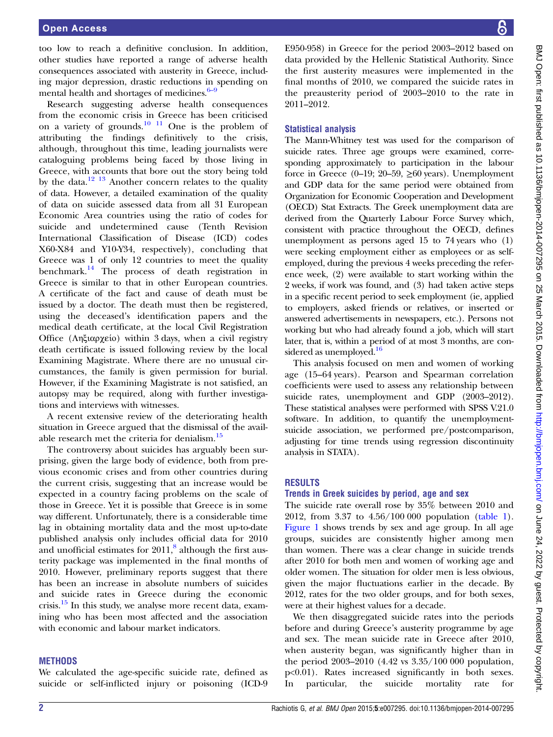too low to reach a definitive conclusion. In addition, other studies have reported a range of adverse health consequences associated with austerity in Greece, including major depression, drastic reductions in spending on mental health and shortages of medicines. $6-9$  $6-9$ 

Research suggesting adverse health consequences from the economic crisis in Greece has been criticised on a variety of grounds.[10 11](#page-5-0) One is the problem of attributing the findings definitively to the crisis, although, throughout this time, leading journalists were cataloguing problems being faced by those living in Greece, with accounts that bore out the story being told by the data.<sup>[12 13](#page-5-0)</sup> Another concern relates to the quality of data. However, a detailed examination of the quality of data on suicide assessed data from all 31 European Economic Area countries using the ratio of codes for suicide and undetermined cause (Tenth Revision International Classification of Disease (ICD) codes X60-X84 and Y10-Y34, respectively), concluding that Greece was 1 of only 12 countries to meet the quality benchmark.[14](#page-5-0) The process of death registration in Greece is similar to that in other European countries. A certificate of the fact and cause of death must be issued by a doctor. The death must then be registered, using the deceased's identification papers and the medical death certificate, at the local Civil Registration Office (Ληξιαρχείο) within 3 days, when a civil registry death certificate is issued following review by the local Examining Magistrate. Where there are no unusual circumstances, the family is given permission for burial. However, if the Examining Magistrate is not satisfied, an autopsy may be required, along with further investigations and interviews with witnesses.

A recent extensive review of the deteriorating health situation in Greece argued that the dismissal of the available research met the criteria for denialism.[15](#page-5-0)

The controversy about suicides has arguably been surprising, given the large body of evidence, both from previous economic crises and from other countries during the current crisis, suggesting that an increase would be expected in a country facing problems on the scale of those in Greece. Yet it is possible that Greece is in some way different. Unfortunately, there is a considerable time lag in obtaining mortality data and the most up-to-date published analysis only includes official data for 2010 and unofficial estimates for  $2011<sup>8</sup>$  $2011<sup>8</sup>$  $2011<sup>8</sup>$  although the first austerity package was implemented in the final months of 2010. However, preliminary reports suggest that there has been an increase in absolute numbers of suicides and suicide rates in Greece during the economic crisis. $15$  In this study, we analyse more recent data, examining who has been most affected and the association with economic and labour market indicators.

#### METHODS

We calculated the age-specific suicide rate, defined as suicide or self-inflicted injury or poisoning (ICD-9 E950-958) in Greece for the period 2003–2012 based on data provided by the Hellenic Statistical Authority. Since the first austerity measures were implemented in the final months of 2010, we compared the suicide rates in the preausterity period of 2003–2010 to the rate in 2011–2012.

#### Statistical analysis

The Mann-Whitney test was used for the comparison of suicide rates. Three age groups were examined, corresponding approximately to participation in the labour force in Greece (0–19; 20–59, ≥60 years). Unemployment and GDP data for the same period were obtained from Organization for Economic Cooperation and Development (OECD) Stat Extracts. The Greek unemployment data are derived from the Quarterly Labour Force Survey which, consistent with practice throughout the OECD, defines unemployment as persons aged 15 to 74 years who (1) were seeking employment either as employees or as selfemployed, during the previous 4 weeks preceding the reference week, (2) were available to start working within the 2 weeks, if work was found, and (3) had taken active steps in a specific recent period to seek employment (ie, applied to employers, asked friends or relatives, or inserted or answered advertisements in newspapers, etc.). Persons not working but who had already found a job, which will start later, that is, within a period of at most 3 months, are con-sidered as unemployed.<sup>[16](#page-5-0)</sup>

This analysis focused on men and women of working age (15–64 years). Pearson and Spearman correlation coefficients were used to assess any relationship between suicide rates, unemployment and GDP (2003–2012). These statistical analyses were performed with SPSS V.21.0 software. In addition, to quantify the unemploymentsuicide association, we performed pre/postcomparison, adjusting for time trends using regression discontinuity analysis in STATA).

#### RESULTS

#### Trends in Greek suicides by period, age and sex

The suicide rate overall rose by 35% between 2010 and 2012, from 3.37 to 4.56/100 000 population [\(table 1\)](#page-2-0). [Figure 1](#page-2-0) shows trends by sex and age group. In all age groups, suicides are consistently higher among men than women. There was a clear change in suicide trends after 2010 for both men and women of working age and older women. The situation for older men is less obvious, given the major fluctuations earlier in the decade. By 2012, rates for the two older groups, and for both sexes, were at their highest values for a decade.

We then disaggregated suicide rates into the periods before and during Greece's austerity programme by age and sex. The mean suicide rate in Greece after 2010, when austerity began, was significantly higher than in the period 2003–2010 (4.42 vs 3.35/100 000 population, p<0.01). Rates increased significantly in both sexes. In particular, the suicide mortality rate for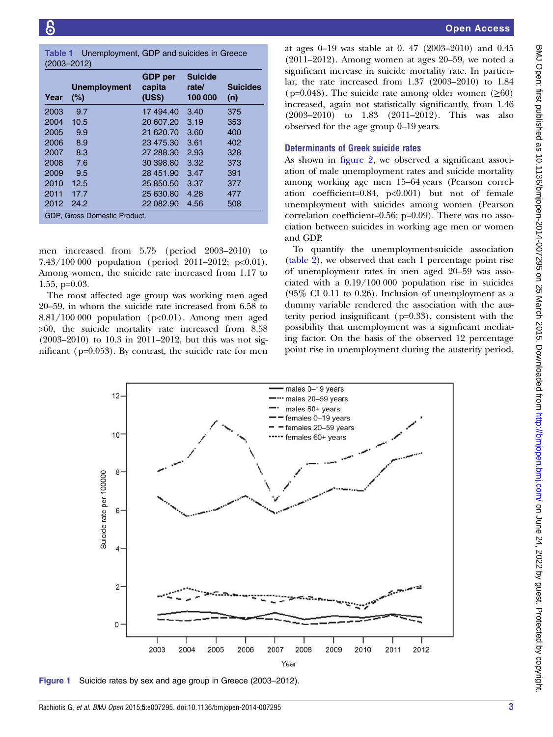<span id="page-2-0"></span>Table 1 Unemployment, GDP and suicides in Greece (2003–2012)

| Year                         | <b>Unemployment</b><br>(%) | <b>GDP</b> per<br>capita<br>(US\$) | <b>Suicide</b><br>rate/<br>100 000 | <b>Suicides</b><br>(n) |  |  |  |
|------------------------------|----------------------------|------------------------------------|------------------------------------|------------------------|--|--|--|
| 2003                         | 9.7                        | 17 494.40                          | 3.40                               | 375                    |  |  |  |
| 2004                         | 10.5                       | 20 607.20                          | 3.19                               | 353                    |  |  |  |
| 2005                         | 9.9                        | 21 620.70                          | 3.60                               | 400                    |  |  |  |
| 2006                         | 8.9                        | 23 475.30                          | 3.61                               | 402                    |  |  |  |
| 2007                         | 8.3                        | 27 288.30                          | 2.93                               | 328                    |  |  |  |
| 2008                         | 7.6                        | 30 398.80                          | 3.32                               | 373                    |  |  |  |
| 2009                         | 9.5                        | 28 451.90                          | 3.47                               | 391                    |  |  |  |
| 2010                         | 12.5                       | 25 850.50                          | 3.37                               | 377                    |  |  |  |
| 2011                         | 17.7                       | 25 630.80                          | 4.28                               | 477                    |  |  |  |
| 2012                         | 24.2                       | 22 082.90                          | 4.56                               | 508                    |  |  |  |
| GDP, Gross Domestic Product. |                            |                                    |                                    |                        |  |  |  |

men increased from 5.75 (period 2003–2010) to 7.43/100 000 population (period 2011–2012; p<0.01). Among women, the suicide rate increased from 1.17 to 1.55, p=0.03.

The most affected age group was working men aged 20–59, in whom the suicide rate increased from 6.58 to  $8.81/100 000$  population (p<0.01). Among men aged >60, the suicide mortality rate increased from 8.58 (2003–2010) to 10.3 in 2011–2012, but this was not significant (p=0.053). By contrast, the suicide rate for men

at ages 0–19 was stable at 0. 47 (2003–2010) and 0.45 (2011–2012). Among women at ages 20–59, we noted a significant increase in suicide mortality rate. In particular, the rate increased from 1.37 (2003–2010) to 1.84  $(p=0.048)$ . The suicide rate among older women ( $>60$ ) increased, again not statistically significantly, from 1.46 (2003–2010) to 1.83 (2011–2012). This was also observed for the age group 0–19 years.

#### Determinants of Greek suicide rates

As shown in fi[gure 2,](#page-3-0) we observed a significant association of male unemployment rates and suicide mortality among working age men 15–64 years (Pearson correlation coefficient=0.84, p<0.001) but not of female unemployment with suicides among women (Pearson correlation coefficient=0.56; p=0.09). There was no association between suicides in working age men or women and GDP.

To quantify the unemployment-suicide association [\(table 2\)](#page-3-0), we observed that each 1 percentage point rise of unemployment rates in men aged 20–59 was associated with a 0.19/100 000 population rise in suicides (95% CI 0.11 to 0.26). Inclusion of unemployment as a dummy variable rendered the association with the austerity period insignificant (p=0.33), consistent with the possibility that unemployment was a significant mediating factor. On the basis of the observed 12 percentage point rise in unemployment during the austerity period,



Figure 1 Suicide rates by sex and age group in Greece (2003–2012).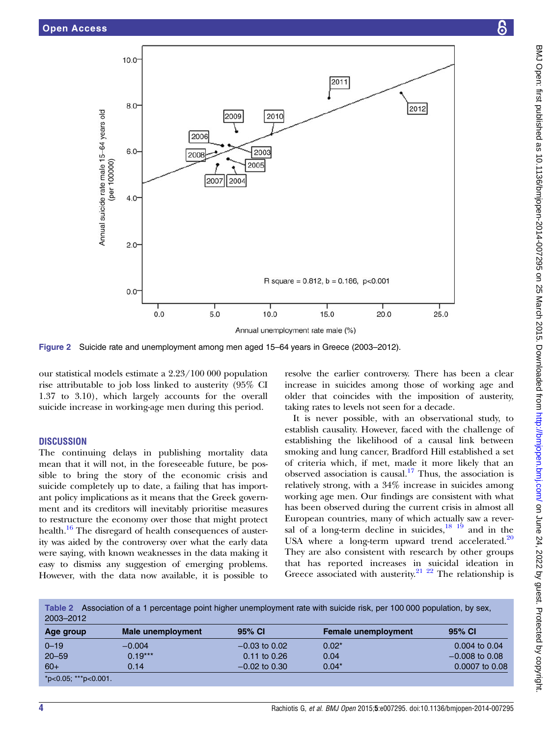<span id="page-3-0"></span>

Figure 2 Suicide rate and unemployment among men aged 15–64 years in Greece (2003–2012).

our statistical models estimate a 2.23/100 000 population rise attributable to job loss linked to austerity (95% CI 1.37 to 3.10), which largely accounts for the overall suicide increase in working-age men during this period.

#### **DISCUSSION**

The continuing delays in publishing mortality data mean that it will not, in the foreseeable future, be possible to bring the story of the economic crisis and suicide completely up to date, a failing that has important policy implications as it means that the Greek government and its creditors will inevitably prioritise measures to restructure the economy over those that might protect health.<sup>16</sup> The disregard of health consequences of austerity was aided by the controversy over what the early data were saying, with known weaknesses in the data making it easy to dismiss any suggestion of emerging problems. However, with the data now available, it is possible to

resolve the earlier controversy. There has been a clear increase in suicides among those of working age and older that coincides with the imposition of austerity, taking rates to levels not seen for a decade.

It is never possible, with an observational study, to establish causality. However, faced with the challenge of establishing the likelihood of a causal link between smoking and lung cancer, Bradford Hill established a set of criteria which, if met, made it more likely that an observed association is causal.<sup>[17](#page-5-0)</sup> Thus, the association is relatively strong, with a 34% increase in suicides among working age men. Our findings are consistent with what has been observed during the current crisis in almost all European countries, many of which actually saw a reversal of a long-term decline in suicides, $\frac{18}{19}$  and in the USA where a long-term upward trend accelerated. $20$ They are also consistent with research by other groups that has reported increases in suicidal ideation in Greece associated with austerity.<sup>21</sup> <sup>22</sup> The relationship is

Table 2 Association of a 1 percentage point higher unemployment rate with suicide risk, per 100 000 population, by sex, 2003–2012

| Age group            | Male unemployment | 95% CI           | <b>Female unemployment</b> | 95% CI            |
|----------------------|-------------------|------------------|----------------------------|-------------------|
| $0 - 19$             | $-0.004$          | $-0.03$ to 0.02  | $0.02*$                    | $0.004$ to $0.04$ |
| $20 - 59$            | $0.19***$         | $0.11$ to $0.26$ | 0.04                       | $-0.008$ to 0.08  |
| $60+$                | 0.14              | $-0.02$ to 0.30  | $0.04*$                    | 0.0007 to 0.08    |
| *p<0.05; ***p<0.001. |                   |                  |                            |                   |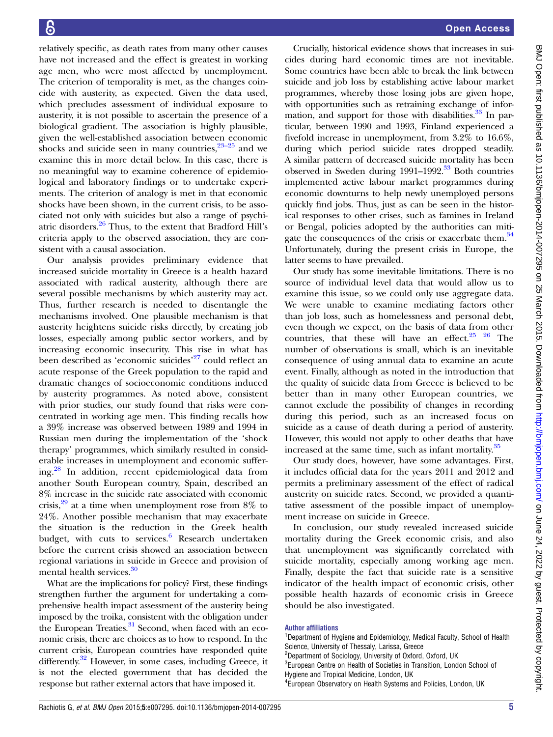relatively specific, as death rates from many other causes have not increased and the effect is greatest in working age men, who were most affected by unemployment. The criterion of temporality is met, as the changes coincide with austerity, as expected. Given the data used, which precludes assessment of individual exposure to austerity, it is not possible to ascertain the presence of a biological gradient. The association is highly plausible, given the well-established association between economic shocks and suicide seen in many countries,  $23-25$  and we examine this in more detail below. In this case, there is no meaningful way to examine coherence of epidemiological and laboratory findings or to undertake experiments. The criterion of analogy is met in that economic shocks have been shown, in the current crisis, to be associated not only with suicides but also a range of psychiatric disorders[.26](#page-5-0) Thus, to the extent that Bradford Hill's criteria apply to the observed association, they are consistent with a causal association.

Our analysis provides preliminary evidence that increased suicide mortality in Greece is a health hazard associated with radical austerity, although there are several possible mechanisms by which austerity may act. Thus, further research is needed to disentangle the mechanisms involved. One plausible mechanism is that austerity heightens suicide risks directly, by creating job losses, especially among public sector workers, and by increasing economic insecurity. This rise in what has been described as 'economic suicides'<sup>[27](#page-5-0)</sup> could reflect an acute response of the Greek population to the rapid and dramatic changes of socioeconomic conditions induced by austerity programmes. As noted above, consistent with prior studies, our study found that risks were concentrated in working age men. This finding recalls how a 39% increase was observed between 1989 and 1994 in Russian men during the implementation of the 'shock therapy' programmes, which similarly resulted in considerable increases in unemployment and economic suffering[.28](#page-5-0) In addition, recent epidemiological data from another South European country, Spain, described an 8% increase in the suicide rate associated with economic crisis,  $29$  at a time when unemployment rose from 8% to 24%. Another possible mechanism that may exacerbate the situation is the reduction in the Greek health budget, with cuts to services. $6$  Research undertaken before the current crisis showed an association between regional variations in suicide in Greece and provision of mental health services.<sup>[30](#page-5-0)</sup>

What are the implications for policy? First, these findings strengthen further the argument for undertaking a comprehensive health impact assessment of the austerity being imposed by the troika, consistent with the obligation under the European Treaties.<sup>31</sup> Second, when faced with an economic crisis, there are choices as to how to respond. In the current crisis, European countries have responded quite differently.<sup>32</sup> However, in some cases, including Greece, it is not the elected government that has decided the response but rather external actors that have imposed it.

Crucially, historical evidence shows that increases in suicides during hard economic times are not inevitable. Some countries have been able to break the link between suicide and job loss by establishing active labour market programmes, whereby those losing jobs are given hope, with opportunities such as retraining exchange of information, and support for those with disabilities. $\frac{33}{10}$  In particular, between 1990 and 1993, Finland experienced a fivefold increase in unemployment, from 3.2% to 16.6%, during which period suicide rates dropped steadily. A similar pattern of decreased suicide mortality has been observed in Sweden during 1991–1992.<sup>[33](#page-5-0)</sup> Both countries implemented active labour market programmes during economic downturns to help newly unemployed persons quickly find jobs. Thus, just as can be seen in the historical responses to other crises, such as famines in Ireland or Bengal, policies adopted by the authorities can mitigate the consequences of the crisis or exacerbate them.<sup>34</sup> Unfortunately, during the present crisis in Europe, the latter seems to have prevailed.

Our study has some inevitable limitations. There is no source of individual level data that would allow us to examine this issue, so we could only use aggregate data. We were unable to examine mediating factors other than job loss, such as homelessness and personal debt, even though we expect, on the basis of data from other countries, that these will have an effect. $25 \frac{26}{10}$  The number of observations is small, which is an inevitable consequence of using annual data to examine an acute event. Finally, although as noted in the introduction that the quality of suicide data from Greece is believed to be better than in many other European countries, we cannot exclude the possibility of changes in recording during this period, such as an increased focus on suicide as a cause of death during a period of austerity. However, this would not apply to other deaths that have increased at the same time, such as infant mortality.<sup>[35](#page-5-0)</sup>

Our study does, however, have some advantages. First, it includes official data for the years 2011 and 2012 and permits a preliminary assessment of the effect of radical austerity on suicide rates. Second, we provided a quantitative assessment of the possible impact of unemployment increase on suicide in Greece.

In conclusion, our study revealed increased suicide mortality during the Greek economic crisis, and also that unemployment was significantly correlated with suicide mortality, especially among working age men. Finally, despite the fact that suicide rate is a sensitive indicator of the health impact of economic crisis, other possible health hazards of economic crisis in Greece should be also investigated.

#### Author affiliations

<sup>1</sup>Department of Hygiene and Epidemiology, Medical Faculty, School of Health Science, University of Thessaly, Larissa, Greece <sup>2</sup>Department of Sociology, University of Oxford, Oxford, UK <sup>3</sup>European Centre on Health of Societies in Transition, London School of

Hygiene and Tropical Medicine, London, UK 4 European Observatory on Health Systems and Policies, London, UK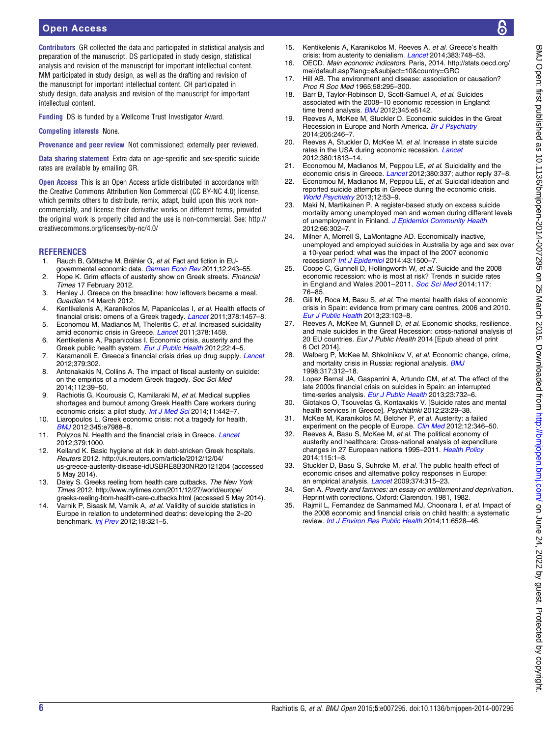### <span id="page-5-0"></span>Open Access

Contributors GR collected the data and participated in statistical analysis and preparation of the manuscript. DS participated in study design, statistical analysis and revision of the manuscript for important intellectual content. MM participated in study design, as well as the drafting and revision of the manuscript for important intellectual content. CH participated in study design, data analysis and revision of the manuscript for important intellectual content.

Funding DS is funded by a Wellcome Trust Investigator Award.

Competing interests None.

Provenance and peer review Not commissioned; externally peer reviewed.

Data sharing statement Extra data on age-specific and sex-specific suicide rates are available by emailing GR.

Open Access This is an Open Access article distributed in accordance with the Creative Commons Attribution Non Commercial (CC BY-NC 4.0) license, which permits others to distribute, remix, adapt, build upon this work noncommercially, and license their derivative works on different terms, provided the original work is properly cited and the use is non-commercial. See: [http://](http://creativecommons.org/licenses/by-nc/4.0/) [creativecommons.org/licenses/by-nc/4.0/](http://creativecommons.org/licenses/by-nc/4.0/)

#### **REFERENCES**

- 1. Rauch B, Göttsche M, Brähler G, et al. Fact and fiction in EU-governmental economic data. [German Econ Rev](http://dx.doi.org/10.1111/j.1468-0475.2011.00542.x) 2011;12:243-55.
- 2. Hope K. Grim effects of austerity show on Greek streets. Financial Times 17 February 2012.
- 3. Henley J. Greece on the breadline: how leftovers became a meal. Guardian 14 March 2012.
- 4. Kentikelenis A, Karanikolos M, Papanicolas I, et al. Health effects of financial crisis: omens of a Greek tragedy. [Lancet](http://dx.doi.org/10.1016/S0140-6736(11)61556-0) 2011;378:1457–8.
- 5. Economou M, Madianos M, Theleritis C, et al. Increased suicidality amid economic crisis in Greece. [Lancet](http://dx.doi.org/10.1016/S0140-6736(11)61638-3) 2011;378:1459.
- 6. Kentikelenis A, Papanicolas I. Economic crisis, austerity and the Greek public health system. [Eur J Public Health](http://dx.doi.org/10.1093/eurpub/ckr190) 2012;22:4-5.
- 7. Karamanoli E. Greece's financial crisis dries up drug supply. [Lancet](http://dx.doi.org/10.1016/S0140-6736(12)60129-9) 2012;379:302.
- 8. Antonakakis N, Collins A. The impact of fiscal austerity on suicide: on the empirics of a modern Greek tragedy. Soc Sci Med 2014;112:39–50.
- 9. Rachiotis G, Kourousis C, Kamilaraki M, et al. Medical supplies shortages and burnout among Greek Health Care workers during economic crisis: a pilot study. [Int J Med Sci](http://dx.doi.org/10.7150/ijms.7933) 2014;11:442-7.
- 10. Liaropoulos L. Greek economic crisis: not a tragedy for health. [BMJ](http://dx.doi.org/10.1136/bmj.e7988) 2012;345:e7988–8.
- 11. Polyzos N. Health and the financial crisis in Greece. [Lancet](http://dx.doi.org/10.1016/S0140-6736(12)60421-8) 2012;379:1000.
- 12. Kelland K. Basic hygiene at risk in debt-stricken Greek hospitals. Reuters 2012. [http://uk.reuters.com/article/2012/12/04/](http://uk.reuters.com/article/2012/12/04/us-greece-austerity-disease-idUSBRE8B30NR20121204) [us-greece-austerity-disease-idUSBRE8B30NR20121204](http://uk.reuters.com/article/2012/12/04/us-greece-austerity-disease-idUSBRE8B30NR20121204) (accessed 5 May 2014).
- 13. Daley S. Greeks reeling from health care cutbacks. The New York Times 2012. [http://www.nytimes.com/2011/12/27/world/europe/](http://www.nytimes.com/2011/12/27/world/europe/greeks-reeling-from-health-care-cutbacks.html) [greeks-reeling-from-health-care-cutbacks.html](http://www.nytimes.com/2011/12/27/world/europe/greeks-reeling-from-health-care-cutbacks.html) (accessed 5 May 2014).
- 14. Varnik P, Sisask M, Varnik A, et al. Validity of suicide statistics in Europe in relation to undetermined deaths: developing the 2–20 benchmark. *[Inj Prev](http://dx.doi.org/10.1136/injuryprev-2011-040070)* 2012;18:321-5.
- 15. Kentikelenis A, Karanikolos M, Reeves A, et al. Greece's health crisis: from austerity to denialism. [Lancet](http://dx.doi.org/10.1016/S0140-6736(13)62291-6) 2014;383:748-53.
- 16. OECD. Main economic indicators. Paris, 2014. [http://stats.oecd.org/](http://stats.oecd.org/mei/default.asp?lang=e&subject=10&country=GRC) [mei/default.asp?lang=e&subject=10&country=GRC](http://stats.oecd.org/mei/default.asp?lang=e&subject=10&country=GRC)
- 17. Hill AB. The environment and disease: association or causation? Proc R Soc Med 1965;58:295–300.
- 18. Barr B, Taylor-Robinson D, Scott-Samuel A, et al. Suicides associated with the 2008–10 economic recession in England: time trend analysis. **[BMJ](http://dx.doi.org/10.1136/bmj.e5142)** 2012;345:e5142.
- 19. Reeves A, McKee M, Stuckler D. Economic suicides in the Great Recession in Europe and North America. [Br J Psychiatry](http://dx.doi.org/10.1192/bjp.bp.114.144766) 2014;205:246–7.
- 20. Reeves A, Stuckler D, McKee M, et al. Increase in state suicide rates in the USA during economic recession. [Lancet](http://dx.doi.org/10.1016/S0140-6736(12)61910-2) 2012;380:1813–14.
- 21. Economou M, Madianos M, Peppou LE, et al. Suicidality and the economic crisis in Greece. [Lancet](http://dx.doi.org/10.1016/S0140-6736(12)61244-6) 2012;380:337; author reply 37-8.
- 22. Economou M, Madianos M, Peppou LE, et al. Suicidal ideation and reported suicide attempts in Greece during the economic crisis. [World Psychiatry](http://dx.doi.org/10.1002/wps.20016) 2013;12:53-9.
- 23. Maki N, Martikainen P. A register-based study on excess suicide mortality among unemployed men and women during different levels of unemployment in Finland. [J Epidemiol Community Health](http://dx.doi.org/10.1136/jech.2009.105908) 2012;66:302–7.
- 24. Milner A, Morrell S, LaMontagne AD. Economically inactive, unemployed and employed suicides in Australia by age and sex over a 10-year period: what was the impact of the 2007 economic recession? [Int J Epidemiol](http://dx.doi.org/10.1093/ije/dyu148) 2014;43:1500-7.
- 25. Coope C, Gunnell D, Hollingworth W, et al. Suicide and the 2008 economic recession: who is most at risk? Trends in suicide rates in England and Wales 2001-2011. [Soc Sci Med](http://dx.doi.org/10.1016/j.socscimed.2014.07.024) 2014;117: 76–85.
- 26. Gili M, Roca M, Basu S, et al. The mental health risks of economic crisis in Spain: evidence from primary care centres, 2006 and 2010. [Eur J Public Health](http://dx.doi.org/10.1093/eurpub/cks035) 2013;23:103–8.
- 27. Reeves A, McKee M, Gunnell D, et al. Economic shocks, resilience, and male suicides in the Great Recession: cross-national analysis of 20 EU countries. Eur J Public Health 2014 [Epub ahead of print 6 Oct 2014].
- 28. Walberg P, McKee M, Shkolnikov V, et al. Economic change, crime, and mortality crisis in Russia: regional analysis. **[BMJ](http://dx.doi.org/10.1136/bmj.317.7154.312)** 1998;317:312–18.
- 29. Lopez Bernal JA, Gasparrini A, Artundo CM, et al. The effect of the late 2000s financial crisis on suicides in Spain: an interrupted time-series analysis. [Eur J Public Health](http://dx.doi.org/10.1093/eurpub/ckt083) 2013;23:732-6.
- 30. Giotakos O, Tsouvelas G, Kontaxakis V. [Suicide rates and mental health services in Greece]. Psychiatriki 2012;23:29–38.
- 31. McKee M, Karanikolos M, Belcher P, et al. Austerity: a failed experiment on the people of Europe. Clin [Med](http://dx.doi.org/10.7861/clinmedicine.12-4-346) 2012;12:346-50.
- 32. Reeves A, Basu S, McKee M, et al. The political economy of austerity and healthcare: Cross-national analysis of expenditure changes in 27 European nations 1995-2011. [Health Policy](http://dx.doi.org/10.1016/j.healthpol.2013.11.008) 2014;115:1–8.
- 33. Stuckler D, Basu S, Suhrcke M, et al. The public health effect of economic crises and alternative policy responses in Europe: an empirical analysis. [Lancet](http://dx.doi.org/10.1016/S0140-6736(09)61124-7) 2009;374:315-23.
- 34. Sen A. Poverty and famines: an essay on entitlement and deprivation. Reprint with corrections. Oxford: Clarendon, 1981, 1982.
- 35. Rajmil L, Fernandez de Sanmamed MJ, Choonara I, et al. Impact of the 2008 economic and financial crisis on child health: a systematic review. [Int J Environ Res Public Health](http://dx.doi.org/10.3390/ijerph110606528) 2014;11:6528–46.